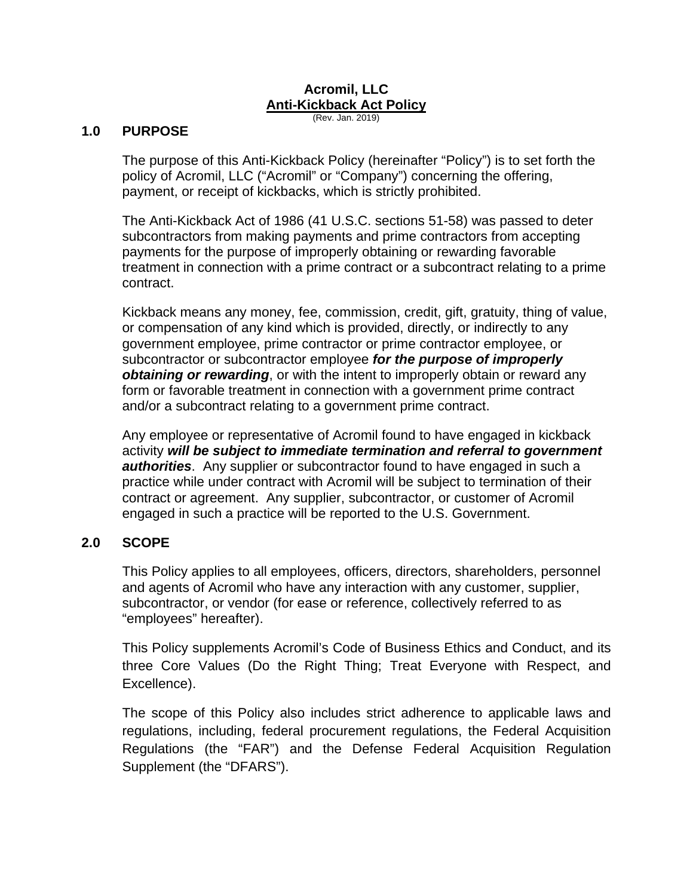# **Acromil, LLC Anti-Kickback Act Policy**

(Rev. Jan. 2019)

#### **1.0 PURPOSE**

The purpose of this Anti-Kickback Policy (hereinafter "Policy") is to set forth the policy of Acromil, LLC ("Acromil" or "Company") concerning the offering, payment, or receipt of kickbacks, which is strictly prohibited.

The Anti-Kickback Act of 1986 (41 U.S.C. sections 51-58) was passed to deter subcontractors from making payments and prime contractors from accepting payments for the purpose of improperly obtaining or rewarding favorable treatment in connection with a prime contract or a subcontract relating to a prime contract.

Kickback means any money, fee, commission, credit, gift, gratuity, thing of value, or compensation of any kind which is provided, directly, or indirectly to any government employee, prime contractor or prime contractor employee, or subcontractor or subcontractor employee *for the purpose of improperly obtaining or rewarding*, or with the intent to improperly obtain or reward any form or favorable treatment in connection with a government prime contract and/or a subcontract relating to a government prime contract.

Any employee or representative of Acromil found to have engaged in kickback activity *will be subject to immediate termination and referral to government authorities*. Any supplier or subcontractor found to have engaged in such a practice while under contract with Acromil will be subject to termination of their contract or agreement. Any supplier, subcontractor, or customer of Acromil engaged in such a practice will be reported to the U.S. Government.

# **2.0 SCOPE**

This Policy applies to all employees, officers, directors, shareholders, personnel and agents of Acromil who have any interaction with any customer, supplier, subcontractor, or vendor (for ease or reference, collectively referred to as "employees" hereafter).

This Policy supplements Acromil's Code of Business Ethics and Conduct, and its three Core Values (Do the Right Thing; Treat Everyone with Respect, and Excellence).

The scope of this Policy also includes strict adherence to applicable laws and regulations, including, federal procurement regulations, the Federal Acquisition Regulations (the "FAR") and the Defense Federal Acquisition Regulation Supplement (the "DFARS").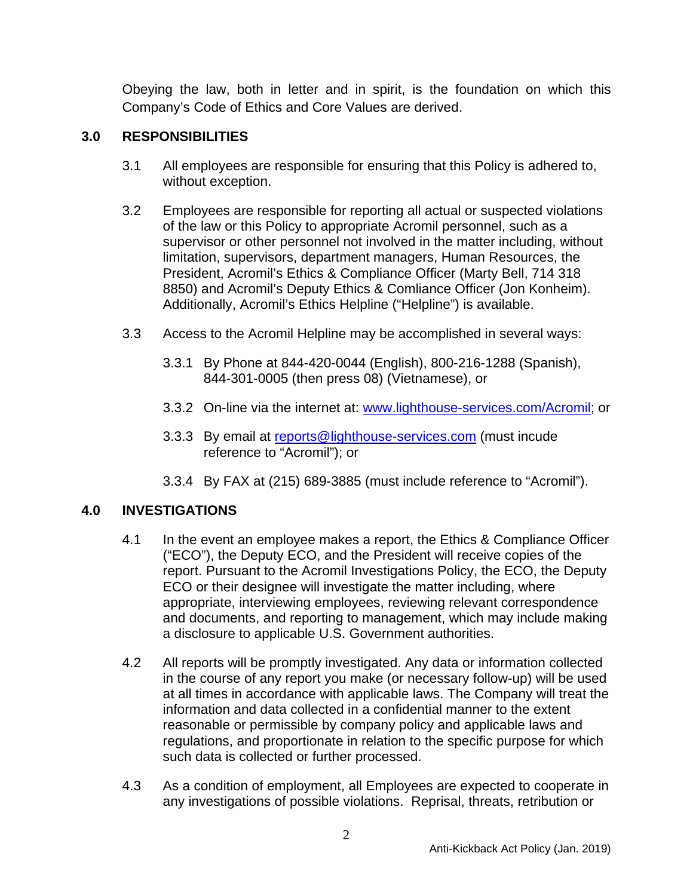Obeying the law, both in letter and in spirit, is the foundation on which this Company's Code of Ethics and Core Values are derived.

### **3.0 RESPONSIBILITIES**

- 3.1 All employees are responsible for ensuring that this Policy is adhered to, without exception.
- 3.2 Employees are responsible for reporting all actual or suspected violations of the law or this Policy to appropriate Acromil personnel, such as a supervisor or other personnel not involved in the matter including, without limitation, supervisors, department managers, Human Resources, the President, Acromil's Ethics & Compliance Officer (Marty Bell, 714 318 8850) and Acromil's Deputy Ethics & Comliance Officer (Jon Konheim). Additionally, Acromil's Ethics Helpline ("Helpline") is available.
- 3.3 Access to the Acromil Helpline may be accomplished in several ways:
	- 3.3.1 By Phone at 844-420-0044 (English), 800-216-1288 (Spanish), 844-301-0005 (then press 08) (Vietnamese), or
	- 3.3.2 On-line via the internet at: www.lighthouse-services.com/Acromil; or
	- 3.3.3 By email at reports@lighthouse-services.com (must incude reference to "Acromil"); or
	- 3.3.4 By FAX at (215) 689-3885 (must include reference to "Acromil").

# **4.0 INVESTIGATIONS**

- 4.1 In the event an employee makes a report, the Ethics & Compliance Officer ("ECO"), the Deputy ECO, and the President will receive copies of the report. Pursuant to the Acromil Investigations Policy, the ECO, the Deputy ECO or their designee will investigate the matter including, where appropriate, interviewing employees, reviewing relevant correspondence and documents, and reporting to management, which may include making a disclosure to applicable U.S. Government authorities.
- 4.2 All reports will be promptly investigated. Any data or information collected in the course of any report you make (or necessary follow-up) will be used at all times in accordance with applicable laws. The Company will treat the information and data collected in a confidential manner to the extent reasonable or permissible by company policy and applicable laws and regulations, and proportionate in relation to the specific purpose for which such data is collected or further processed.
- 4.3 As a condition of employment, all Employees are expected to cooperate in any investigations of possible violations. Reprisal, threats, retribution or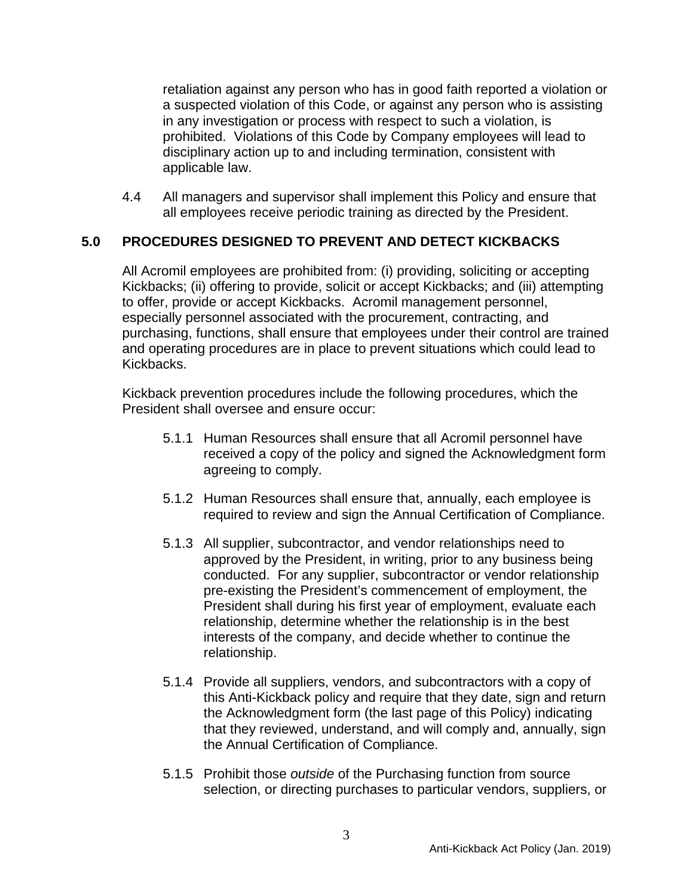retaliation against any person who has in good faith reported a violation or a suspected violation of this Code, or against any person who is assisting in any investigation or process with respect to such a violation, is prohibited. Violations of this Code by Company employees will lead to disciplinary action up to and including termination, consistent with applicable law.

4.4 All managers and supervisor shall implement this Policy and ensure that all employees receive periodic training as directed by the President.

#### **5.0 PROCEDURES DESIGNED TO PREVENT AND DETECT KICKBACKS**

All Acromil employees are prohibited from: (i) providing, soliciting or accepting Kickbacks; (ii) offering to provide, solicit or accept Kickbacks; and (iii) attempting to offer, provide or accept Kickbacks. Acromil management personnel, especially personnel associated with the procurement, contracting, and purchasing, functions, shall ensure that employees under their control are trained and operating procedures are in place to prevent situations which could lead to Kickbacks.

Kickback prevention procedures include the following procedures, which the President shall oversee and ensure occur:

- 5.1.1 Human Resources shall ensure that all Acromil personnel have received a copy of the policy and signed the Acknowledgment form agreeing to comply.
- 5.1.2 Human Resources shall ensure that, annually, each employee is required to review and sign the Annual Certification of Compliance.
- 5.1.3 All supplier, subcontractor, and vendor relationships need to approved by the President, in writing, prior to any business being conducted. For any supplier, subcontractor or vendor relationship pre-existing the President's commencement of employment, the President shall during his first year of employment, evaluate each relationship, determine whether the relationship is in the best interests of the company, and decide whether to continue the relationship.
- 5.1.4 Provide all suppliers, vendors, and subcontractors with a copy of this Anti-Kickback policy and require that they date, sign and return the Acknowledgment form (the last page of this Policy) indicating that they reviewed, understand, and will comply and, annually, sign the Annual Certification of Compliance.
- 5.1.5 Prohibit those *outside* of the Purchasing function from source selection, or directing purchases to particular vendors, suppliers, or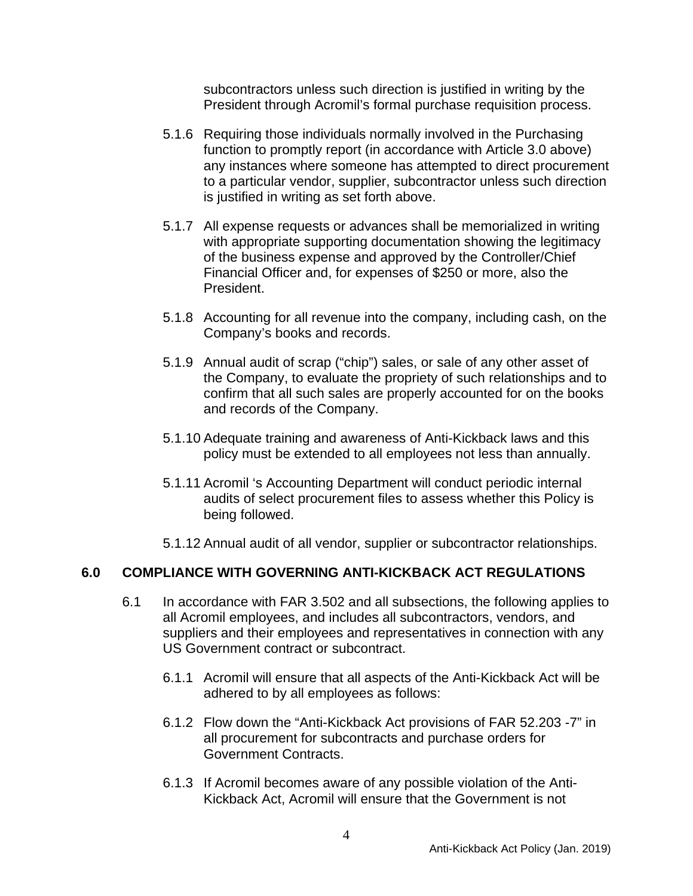subcontractors unless such direction is justified in writing by the President through Acromil's formal purchase requisition process.

- 5.1.6 Requiring those individuals normally involved in the Purchasing function to promptly report (in accordance with Article 3.0 above) any instances where someone has attempted to direct procurement to a particular vendor, supplier, subcontractor unless such direction is justified in writing as set forth above.
- 5.1.7 All expense requests or advances shall be memorialized in writing with appropriate supporting documentation showing the legitimacy of the business expense and approved by the Controller/Chief Financial Officer and, for expenses of \$250 or more, also the President.
- 5.1.8 Accounting for all revenue into the company, including cash, on the Company's books and records.
- 5.1.9 Annual audit of scrap ("chip") sales, or sale of any other asset of the Company, to evaluate the propriety of such relationships and to confirm that all such sales are properly accounted for on the books and records of the Company.
- 5.1.10 Adequate training and awareness of Anti-Kickback laws and this policy must be extended to all employees not less than annually.
- 5.1.11 Acromil 's Accounting Department will conduct periodic internal audits of select procurement files to assess whether this Policy is being followed.
- 5.1.12 Annual audit of all vendor, supplier or subcontractor relationships.

#### **6.0 COMPLIANCE WITH GOVERNING ANTI-KICKBACK ACT REGULATIONS**

- 6.1 In accordance with FAR 3.502 and all subsections, the following applies to all Acromil employees, and includes all subcontractors, vendors, and suppliers and their employees and representatives in connection with any US Government contract or subcontract.
	- 6.1.1 Acromil will ensure that all aspects of the Anti-Kickback Act will be adhered to by all employees as follows:
	- 6.1.2 Flow down the "Anti-Kickback Act provisions of FAR 52.203 -7" in all procurement for subcontracts and purchase orders for Government Contracts.
	- 6.1.3 If Acromil becomes aware of any possible violation of the Anti-Kickback Act, Acromil will ensure that the Government is not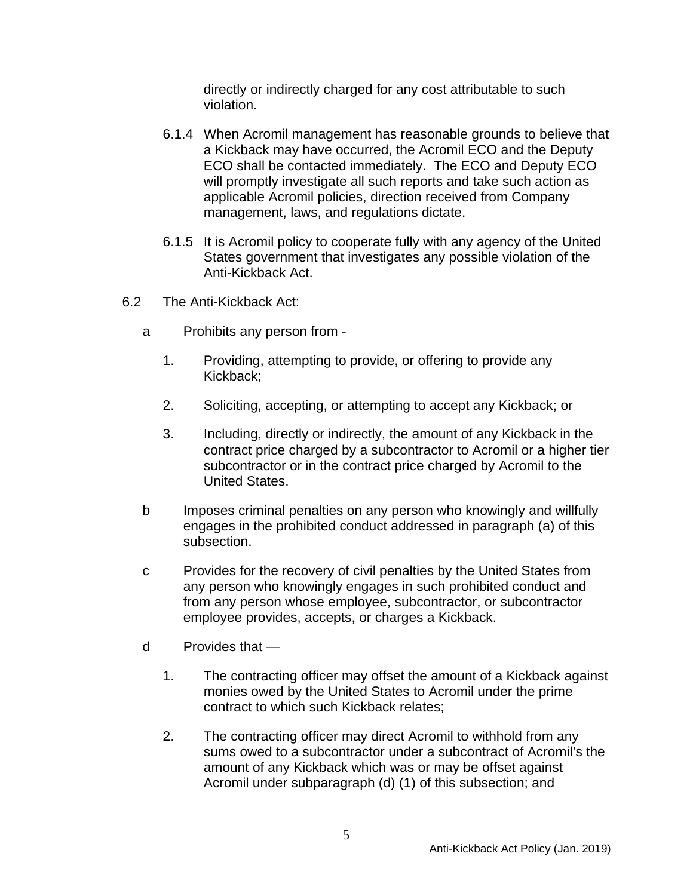directly or indirectly charged for any cost attributable to such violation.

- 6.1.4 When Acromil management has reasonable grounds to believe that a Kickback may have occurred, the Acromil ECO and the Deputy ECO shall be contacted immediately. The ECO and Deputy ECO will promptly investigate all such reports and take such action as applicable Acromil policies, direction received from Company management, laws, and regulations dictate.
- 6.1.5 It is Acromil policy to cooperate fully with any agency of the United States government that investigates any possible violation of the Anti-Kickback Act.
- 6.2 The Anti-Kickback Act:
	- a Prohibits any person from
		- 1. Providing, attempting to provide, or offering to provide any Kickback;
		- 2. Soliciting, accepting, or attempting to accept any Kickback; or
		- 3. Including, directly or indirectly, the amount of any Kickback in the contract price charged by a subcontractor to Acromil or a higher tier subcontractor or in the contract price charged by Acromil to the United States.
	- b Imposes criminal penalties on any person who knowingly and willfully engages in the prohibited conduct addressed in paragraph (a) of this subsection.
	- c Provides for the recovery of civil penalties by the United States from any person who knowingly engages in such prohibited conduct and from any person whose employee, subcontractor, or subcontractor employee provides, accepts, or charges a Kickback.
	- d Provides that
		- 1. The contracting officer may offset the amount of a Kickback against monies owed by the United States to Acromil under the prime contract to which such Kickback relates;
		- 2. The contracting officer may direct Acromil to withhold from any sums owed to a subcontractor under a subcontract of Acromil's the amount of any Kickback which was or may be offset against Acromil under subparagraph (d) (1) of this subsection; and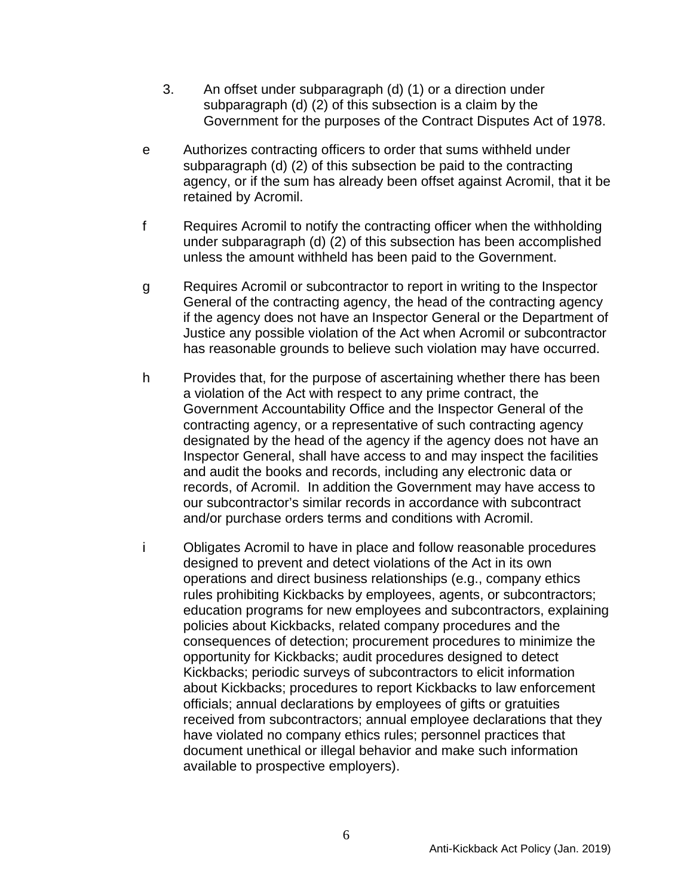- 3. An offset under subparagraph (d) (1) or a direction under subparagraph (d) (2) of this subsection is a claim by the Government for the purposes of the Contract Disputes Act of 1978.
- e Authorizes contracting officers to order that sums withheld under subparagraph (d) (2) of this subsection be paid to the contracting agency, or if the sum has already been offset against Acromil, that it be retained by Acromil.
- f Requires Acromil to notify the contracting officer when the withholding under subparagraph (d) (2) of this subsection has been accomplished unless the amount withheld has been paid to the Government.
- g Requires Acromil or subcontractor to report in writing to the Inspector General of the contracting agency, the head of the contracting agency if the agency does not have an Inspector General or the Department of Justice any possible violation of the Act when Acromil or subcontractor has reasonable grounds to believe such violation may have occurred.
- h Provides that, for the purpose of ascertaining whether there has been a violation of the Act with respect to any prime contract, the Government Accountability Office and the Inspector General of the contracting agency, or a representative of such contracting agency designated by the head of the agency if the agency does not have an Inspector General, shall have access to and may inspect the facilities and audit the books and records, including any electronic data or records, of Acromil. In addition the Government may have access to our subcontractor's similar records in accordance with subcontract and/or purchase orders terms and conditions with Acromil.
- i Obligates Acromil to have in place and follow reasonable procedures designed to prevent and detect violations of the Act in its own operations and direct business relationships (e.g., company ethics rules prohibiting Kickbacks by employees, agents, or subcontractors; education programs for new employees and subcontractors, explaining policies about Kickbacks, related company procedures and the consequences of detection; procurement procedures to minimize the opportunity for Kickbacks; audit procedures designed to detect Kickbacks; periodic surveys of subcontractors to elicit information about Kickbacks; procedures to report Kickbacks to law enforcement officials; annual declarations by employees of gifts or gratuities received from subcontractors; annual employee declarations that they have violated no company ethics rules; personnel practices that document unethical or illegal behavior and make such information available to prospective employers).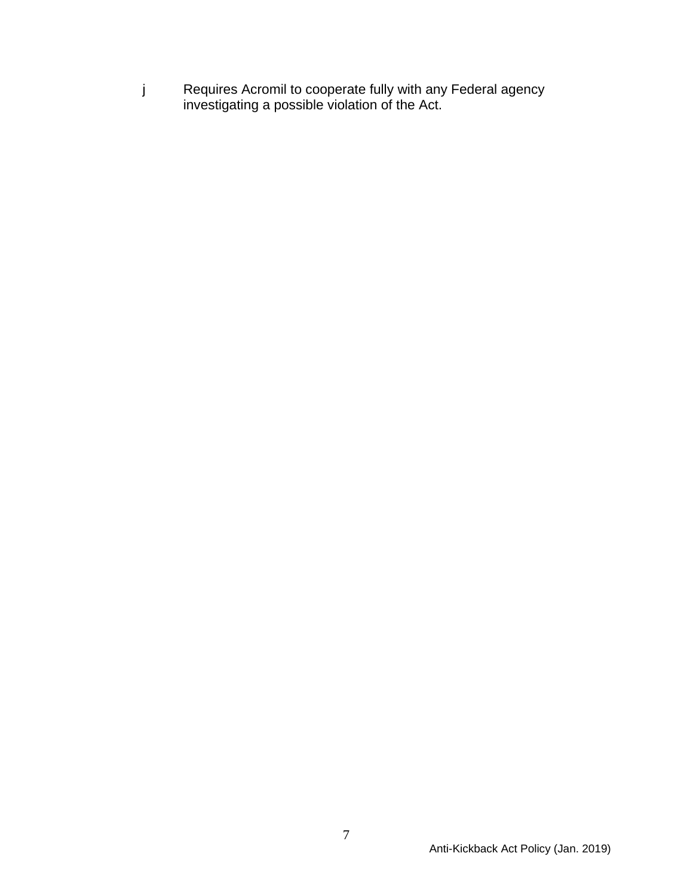j Requires Acromil to cooperate fully with any Federal agency investigating a possible violation of the Act.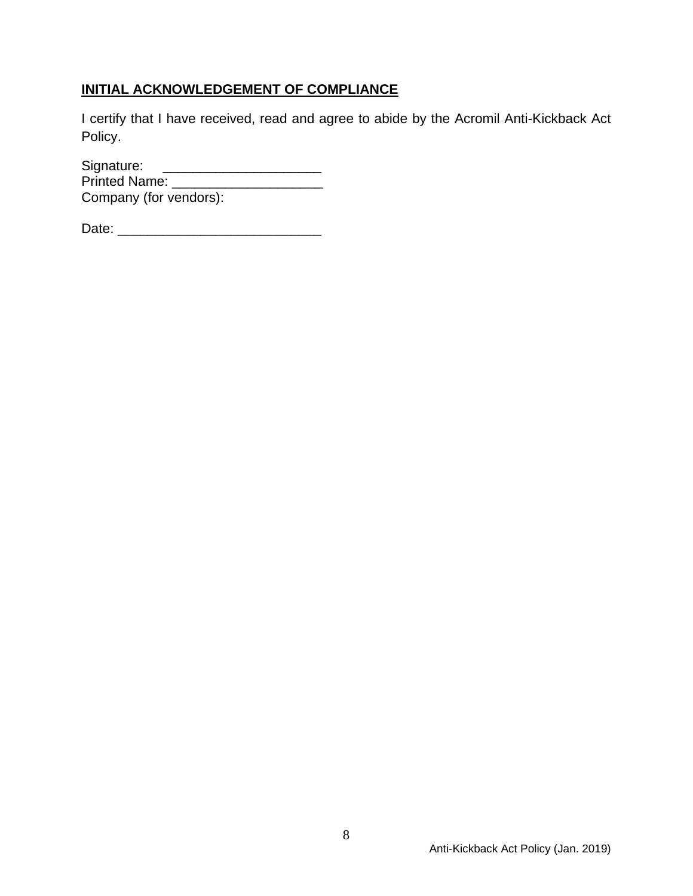# **INITIAL ACKNOWLEDGEMENT OF COMPLIANCE**

I certify that I have received, read and agree to abide by the Acromil Anti-Kickback Act Policy.

Signature: \_\_\_\_\_\_\_\_\_\_\_\_\_\_\_\_\_\_\_\_\_ Printed Name: \_\_\_\_\_\_\_\_\_\_\_\_\_\_\_\_\_\_\_\_ Company (for vendors):